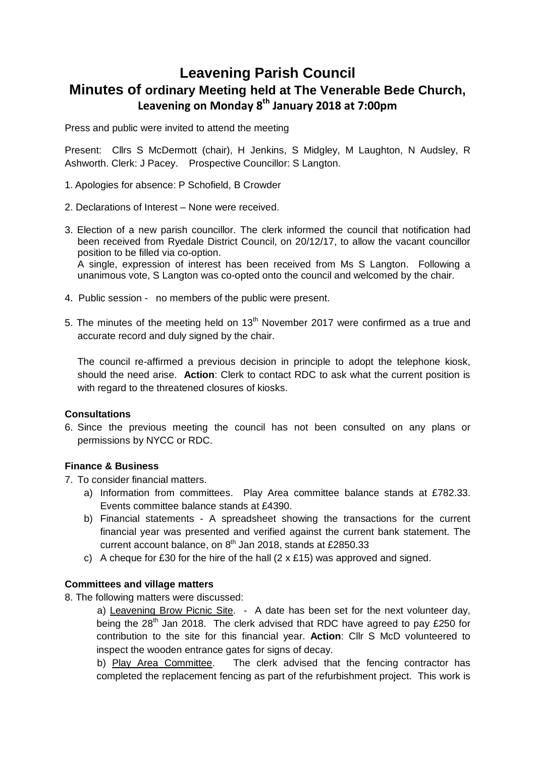## **Leavening Parish Council Minutes of ordinary Meeting held at The Venerable Bede Church, Leavening on Monday 8 th January 2018 at 7:00pm**

Press and public were invited to attend the meeting

Present: Cllrs S McDermott (chair), H Jenkins, S Midgley, M Laughton, N Audsley, R Ashworth. Clerk: J Pacey. Prospective Councillor: S Langton.

- 1. Apologies for absence: P Schofield, B Crowder
- 2. Declarations of Interest None were received.
- 3. Election of a new parish councillor. The clerk informed the council that notification had been received from Ryedale District Council, on 20/12/17, to allow the vacant councillor position to be filled via co-option. A single, expression of interest has been received from Ms S Langton. Following a

unanimous vote, S Langton was co-opted onto the council and welcomed by the chair.

- 4. Public session no members of the public were present.
- 5. The minutes of the meeting held on 13<sup>th</sup> November 2017 were confirmed as a true and accurate record and duly signed by the chair.

The council re-affirmed a previous decision in principle to adopt the telephone kiosk, should the need arise. **Action**: Clerk to contact RDC to ask what the current position is with regard to the threatened closures of kiosks.

## **Consultations**

6. Since the previous meeting the council has not been consulted on any plans or permissions by NYCC or RDC.

## **Finance & Business**

- 7. To consider financial matters.
	- a) Information from committees. Play Area committee balance stands at £782.33. Events committee balance stands at £4390.
	- b) Financial statements A spreadsheet showing the transactions for the current financial year was presented and verified against the current bank statement. The current account balance, on 8<sup>th</sup> Jan 2018, stands at £2850.33
	- c) A cheque for £30 for the hire of the hall  $(2 \times £15)$  was approved and signed.

## **Committees and village matters**

8. The following matters were discussed:

a) Leavening Brow Picnic Site. - A date has been set for the next volunteer day, being the  $28<sup>th</sup>$  Jan 2018. The clerk advised that RDC have agreed to pay £250 for contribution to the site for this financial year. **Action**: Cllr S McD volunteered to inspect the wooden entrance gates for signs of decay.

b) Play Area Committee. The clerk advised that the fencing contractor has completed the replacement fencing as part of the refurbishment project. This work is